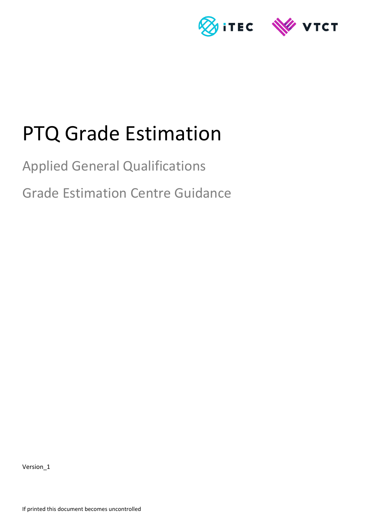

# PTQ Grade Estimation

Applied General Qualifications

Grade Estimation Centre Guidance

Version\_1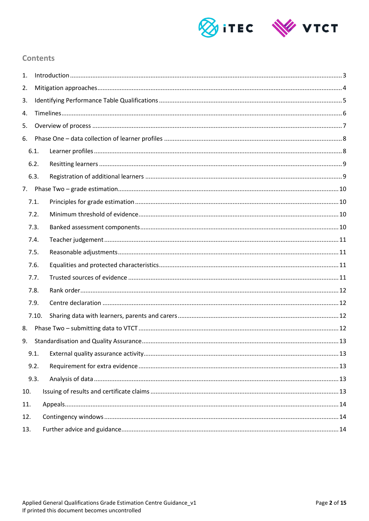

## **Contents**

| 1.  |       |  |  |  |  |  |
|-----|-------|--|--|--|--|--|
| 2.  |       |  |  |  |  |  |
| 3.  |       |  |  |  |  |  |
| 4.  |       |  |  |  |  |  |
| 5.  |       |  |  |  |  |  |
| 6.  |       |  |  |  |  |  |
|     | 6.1.  |  |  |  |  |  |
|     | 6.2.  |  |  |  |  |  |
|     | 6.3.  |  |  |  |  |  |
|     |       |  |  |  |  |  |
|     | 7.1.  |  |  |  |  |  |
|     | 7.2.  |  |  |  |  |  |
|     | 7.3.  |  |  |  |  |  |
|     | 7.4.  |  |  |  |  |  |
|     | 7.5.  |  |  |  |  |  |
|     | 7.6.  |  |  |  |  |  |
|     | 7.7.  |  |  |  |  |  |
|     | 7.8.  |  |  |  |  |  |
|     | 7.9.  |  |  |  |  |  |
|     | 7.10. |  |  |  |  |  |
| 8.  |       |  |  |  |  |  |
| 9.  |       |  |  |  |  |  |
|     | 9.1.  |  |  |  |  |  |
|     | 9.2.  |  |  |  |  |  |
|     | 9.3.  |  |  |  |  |  |
| 10. |       |  |  |  |  |  |
| 11. |       |  |  |  |  |  |
| 12. |       |  |  |  |  |  |
| 13. |       |  |  |  |  |  |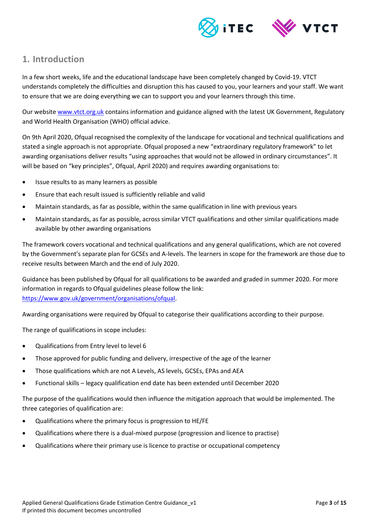

# <span id="page-2-0"></span>**1. Introduction**

In a few short weeks, life and the educational landscape have been completely changed by Covid-19. VTCT understands completely the difficulties and disruption this has caused to you, your learners and your staff. We want to ensure that we are doing everything we can to support you and your learners through this time.

Our website [www.vtct.org.uk](http://www.vtct.org.uk/) contains information and guidance aligned with the latest UK Government, Regulatory and World Health Organisation (WHO) official advice.

On 9th April 2020, Ofqual recognised the complexity of the landscape for vocational and technical qualifications and stated a single approach is not appropriate. Ofqual proposed a new "extraordinary regulatory framework" to let awarding organisations deliver results "using approaches that would not be allowed in ordinary circumstances". It will be based on "key principles", Ofqual, April 2020) and requires awarding organisations to:

- Issue results to as many learners as possible
- Ensure that each result issued is sufficiently reliable and valid
- Maintain standards, as far as possible, within the same qualification in line with previous years
- Maintain standards, as far as possible, across similar VTCT qualifications and other similar qualifications made available by other awarding organisations

The framework covers vocational and technical qualifications and any general qualifications, which are not covered by the Government's separate plan for GCSEs and A-levels. The learners in scope for the framework are those due to receive results between March and the end of July 2020.

Guidance has been published by Ofqual for all qualifications to be awarded and graded in summer 2020. For more information in regards to Ofqual guidelines please follow the link: [https://www.gov.uk/government/organisations/ofqual.](https://www.gov.uk/government/organisations/ofqual)

Awarding organisations were required by Ofqual to categorise their qualifications according to their purpose.

The range of qualifications in scope includes:

- Qualifications from Entry level to level 6
- Those approved for public funding and delivery, irrespective of the age of the learner
- Those qualifications which are not A Levels, AS levels, GCSEs, EPAs and AEA
- Functional skills legacy qualification end date has been extended until December 2020

The purpose of the qualifications would then influence the mitigation approach that would be implemented. The three categories of qualification are:

- Qualifications where the primary focus is progression to HE/FE
- Qualifications where there is a dual-mixed purpose (progression and licence to practise)
- Qualifications where their primary use is licence to practise or occupational competency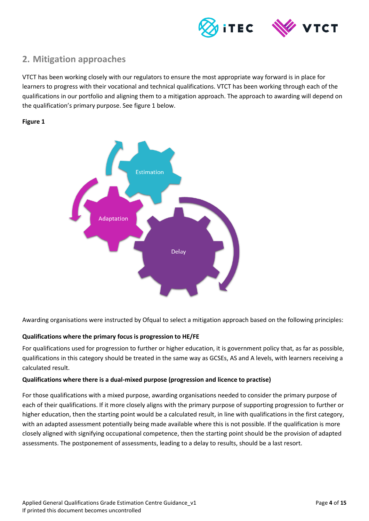

# <span id="page-3-0"></span>**2. Mitigation approaches**

VTCT has been working closely with our regulators to ensure the most appropriate way forward is in place for learners to progress with their vocational and technical qualifications. VTCT has been working through each of the qualifications in our portfolio and aligning them to a mitigation approach. The approach to awarding will depend on the qualification's primary purpose. See figure 1 below.

#### **Figure 1**



Awarding organisations were instructed by Ofqual to select a mitigation approach based on the following principles:

#### **Qualifications where the primary focus is progression to HE/FE**

For qualifications used for progression to further or higher education, it is government policy that, as far as possible, qualifications in this category should be treated in the same way as GCSEs, AS and A levels, with learners receiving a calculated result.

#### **Qualifications where there is a dual-mixed purpose (progression and licence to practise)**

For those qualifications with a mixed purpose, awarding organisations needed to consider the primary purpose of each of their qualifications. If it more closely aligns with the primary purpose of supporting progression to further or higher education, then the starting point would be a calculated result, in line with qualifications in the first category, with an adapted assessment potentially being made available where this is not possible. If the qualification is more closely aligned with signifying occupational competence, then the starting point should be the provision of adapted assessments. The postponement of assessments, leading to a delay to results, should be a last resort.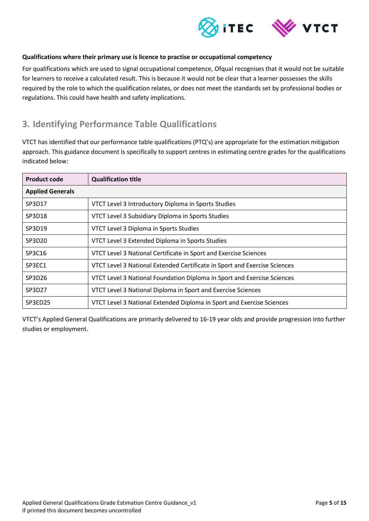

#### **Qualifications where their primary use is licence to practise or occupational competency**

For qualifications which are used to signal occupational competence, Ofqual recognises that it would not be suitable for learners to receive a calculated result. This is because it would not be clear that a learner possesses the skills required by the role to which the qualification relates, or does not meet the standards set by professional bodies or regulations. This could have health and safety implications.

# <span id="page-4-0"></span>**3. Identifying Performance Table Qualifications**

VTCT has identified that our performance table qualifications (PTQ's) are appropriate for the estimation mitigation approach. This guidance document is specifically to support centres in estimating centre grades for the qualifications indicated below:

| <b>Product code</b>     | <b>Qualification title</b>                                                |  |  |
|-------------------------|---------------------------------------------------------------------------|--|--|
| <b>Applied Generals</b> |                                                                           |  |  |
| SP3D17                  | VTCT Level 3 Introductory Diploma in Sports Studies                       |  |  |
| SP3D18                  | VTCT Level 3 Subsidiary Diploma in Sports Studies                         |  |  |
| SP3D19                  | VTCT Level 3 Diploma in Sports Studies                                    |  |  |
| SP3D20                  | VTCT Level 3 Extended Diploma in Sports Studies                           |  |  |
| SP3C16                  | VTCT Level 3 National Certificate in Sport and Exercise Sciences          |  |  |
| SP3EC1                  | VTCT Level 3 National Extended Certificate in Sport and Exercise Sciences |  |  |
| SP3D26                  | VTCT Level 3 National Foundation Diploma in Sport and Exercise Sciences   |  |  |
| SP3D27                  | VTCT Level 3 National Diploma in Sport and Exercise Sciences              |  |  |
| SP3ED25                 | VTCT Level 3 National Extended Diploma in Sport and Exercise Sciences     |  |  |

VTCT's Applied General Qualifications are primarily delivered to 16-19 year olds and provide progression into further studies or employment.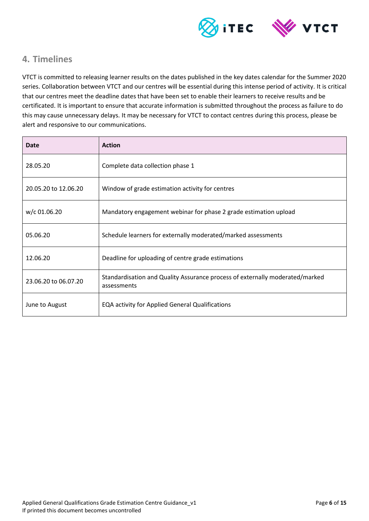

# <span id="page-5-0"></span>**4. Timelines**

VTCT is committed to releasing learner results on the dates published in the key dates calendar for the Summer 2020 series. Collaboration between VTCT and our centres will be essential during this intense period of activity. It is critical that our centres meet the deadline dates that have been set to enable their learners to receive results and be certificated. It is important to ensure that accurate information is submitted throughout the process as failure to do this may cause unnecessary delays. It may be necessary for VTCT to contact centres during this process, please be alert and responsive to our communications.

| Date                 | <b>Action</b>                                                                               |
|----------------------|---------------------------------------------------------------------------------------------|
| 28.05.20             | Complete data collection phase 1                                                            |
| 20.05.20 to 12.06.20 | Window of grade estimation activity for centres                                             |
| w/c 01.06.20         | Mandatory engagement webinar for phase 2 grade estimation upload                            |
| 05.06.20             | Schedule learners for externally moderated/marked assessments                               |
| 12.06.20             | Deadline for uploading of centre grade estimations                                          |
| 23.06.20 to 06.07.20 | Standardisation and Quality Assurance process of externally moderated/marked<br>assessments |
| June to August       | EQA activity for Applied General Qualifications                                             |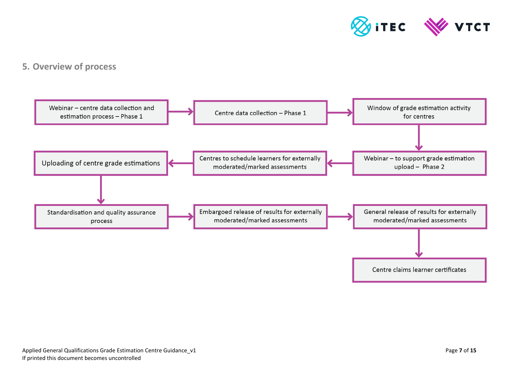

# **5. Overview of process**

<span id="page-6-0"></span>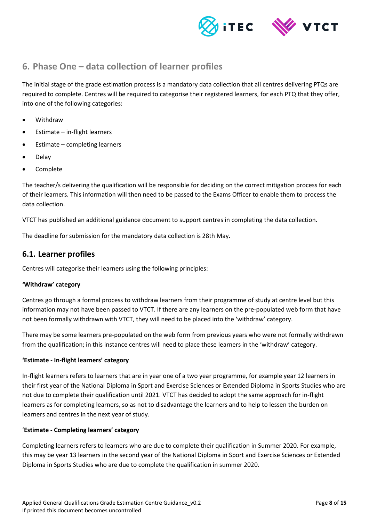



# <span id="page-7-0"></span>**6. Phase One – data collection of learner profiles**

The initial stage of the grade estimation process is a mandatory data collection that all centres delivering PTQs are required to complete. Centres will be required to categorise their registered learners, for each PTQ that they offer, into one of the following categories:

- Withdraw
- Estimate in-flight learners
- Estimate completing learners
- Delay
- Complete

The teacher/s delivering the qualification will be responsible for deciding on the correct mitigation process for each of their learners. This information will then need to be passed to the Exams Officer to enable them to process the data collection.

VTCT has published an additional guidance document to support centres in completing the data collection.

The deadline for submission for the mandatory data collection is 28th May.

## <span id="page-7-1"></span>**6.1. Learner profiles**

Centres will categorise their learners using the following principles:

#### **'Withdraw' category**

Centres go through a formal process to withdraw learners from their programme of study at centre level but this information may not have been passed to VTCT. If there are any learners on the pre-populated web form that have not been formally withdrawn with VTCT, they will need to be placed into the 'withdraw' category.

There may be some learners pre-populated on the web form from previous years who were not formally withdrawn from the qualification; in this instance centres will need to place these learners in the 'withdraw' category.

#### **'Estimate - In-flight learners' category**

In-flight learners refers to learners that are in year one of a two year programme, for example year 12 learners in their first year of the National Diploma in Sport and Exercise Sciences or Extended Diploma in Sports Studies who are not due to complete their qualification until 2021. VTCT has decided to adopt the same approach for in-flight learners as for completing learners, so as not to disadvantage the learners and to help to lessen the burden on learners and centres in the next year of study.

#### '**Estimate - Completing learners' category**

Completing learners refers to learners who are due to complete their qualification in Summer 2020. For example, this may be year 13 learners in the second year of the National Diploma in Sport and Exercise Sciences or Extended Diploma in Sports Studies who are due to complete the qualification in summer 2020.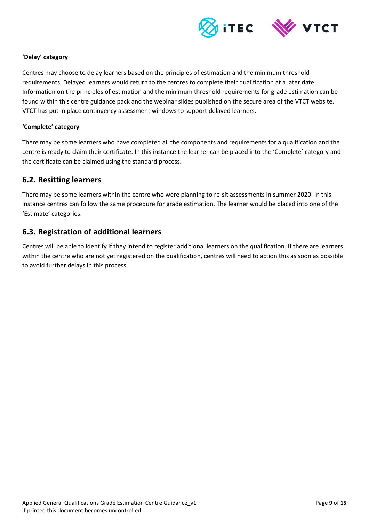

#### **'Delay' category**

Centres may choose to delay learners based on the principles of estimation and the minimum threshold requirements. Delayed learners would return to the centres to complete their qualification at a later date. Information on the principles of estimation and the minimum threshold requirements for grade estimation can be found within this centre guidance pack and the webinar slides published on the secure area of the VTCT website. VTCT has put in place contingency assessment windows to support delayed learners.

#### **'Complete' category**

There may be some learners who have completed all the components and requirements for a qualification and the centre is ready to claim their certificate. In this instance the learner can be placed into the 'Complete' category and the certificate can be claimed using the standard process.

## <span id="page-8-0"></span>**6.2. Resitting learners**

There may be some learners within the centre who were planning to re-sit assessments in summer 2020. In this instance centres can follow the same procedure for grade estimation. The learner would be placed into one of the 'Estimate' categories.

## <span id="page-8-1"></span>**6.3. Registration of additional learners**

Centres will be able to identify if they intend to register additional learners on the qualification. If there are learners within the centre who are not yet registered on the qualification, centres will need to action this as soon as possible to avoid further delays in this process.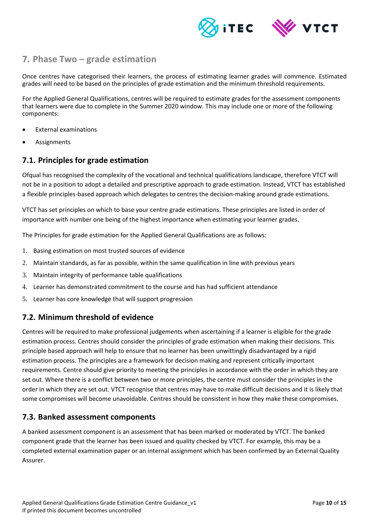

# <span id="page-9-0"></span>**7. Phase Two – grade estimation**

Once centres have categorised their learners, the process of estimating learner grades will commence. Estimated grades will need to be based on the principles of grade estimation and the minimum threshold requirements.

For the Applied General Qualifications, centres will be required to estimate grades for the assessment components that learners were due to complete in the Summer 2020 window. This may include one or more of the following components:

- External examinations
- Assignments

## <span id="page-9-1"></span>**7.1. Principles for grade estimation**

Ofqual has recognised the complexity of the vocational and technical qualifications landscape, therefore VTCT will not be in a position to adopt a detailed and prescriptive approach to grade estimation. Instead, VTCT has established a flexible principles-based approach which delegates to centres the decision-making around grade estimations.

VTCT has set principles on which to base your centre grade estimations. These principles are listed in order of importance with number one being of the highest importance when estimating your learner grades.

The Principles for grade estimation for the Applied General Qualifications are as follows:

- 1. Basing estimation on most trusted sources of evidence
- 2. Maintain standards, as far as possible, within the same qualification in line with previous years
- 3. Maintain integrity of performance table qualifications
- 4. Learner has demonstrated commitment to the course and has had sufficient attendance
- 5. Learner has core knowledge that will support progression

## <span id="page-9-2"></span>**7.2. Minimum threshold of evidence**

Centres will be required to make professional judgements when ascertaining if a learner is eligible for the grade estimation process. Centres should consider the principles of grade estimation when making their decisions. This principle based approach will help to ensure that no learner has been unwittingly disadvantaged by a rigid estimation process. The principles are a framework for decision making and represent critically important requirements. Centre should give priority to meeting the principles in accordance with the order in which they are set out. Where there is a conflict between two or more principles, the centre must consider the principles in the order in which they are set out. VTCT recognise that centres may have to make difficult decisions and it is likely that some compromises will become unavoidable. Centres should be consistent in how they make these compromises.

## <span id="page-9-3"></span>**7.3. Banked assessment components**

A banked assessment component is an assessment that has been marked or moderated by VTCT. The banked component grade that the learner has been issued and quality checked by VTCT. For example, this may be a completed external examination paper or an internal assignment which has been confirmed by an External Quality Assurer.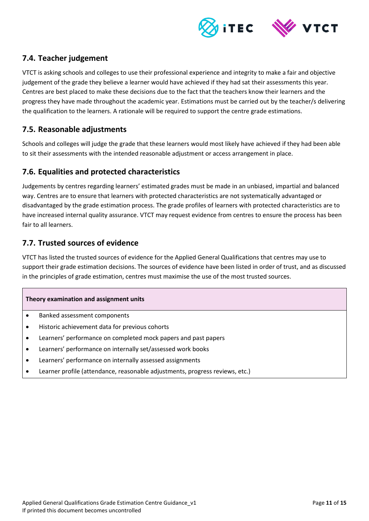

## <span id="page-10-0"></span>**7.4. Teacher judgement**

VTCT is asking schools and colleges to use their professional experience and integrity to make a fair and objective judgement of the grade they believe a learner would have achieved if they had sat their assessments this year. Centres are best placed to make these decisions due to the fact that the teachers know their learners and the progress they have made throughout the academic year. Estimations must be carried out by the teacher/s delivering the qualification to the learners. A rationale will be required to support the centre grade estimations.

## <span id="page-10-1"></span>**7.5. Reasonable adjustments**

Schools and colleges will judge the grade that these learners would most likely have achieved if they had been able to sit their assessments with the intended reasonable adjustment or access arrangement in place.

## <span id="page-10-2"></span>**7.6. Equalities and protected characteristics**

Judgements by centres regarding learners' estimated grades must be made in an unbiased, impartial and balanced way. Centres are to ensure that learners with protected characteristics are not systematically advantaged or disadvantaged by the grade estimation process. The grade profiles of learners with protected characteristics are to have increased internal quality assurance. VTCT may request evidence from centres to ensure the process has been fair to all learners.

## <span id="page-10-3"></span>**7.7. Trusted sources of evidence**

VTCT has listed the trusted sources of evidence for the Applied General Qualifications that centres may use to support their grade estimation decisions. The sources of evidence have been listed in order of trust, and as discussed in the principles of grade estimation, centres must maximise the use of the most trusted sources.

#### **Theory examination and assignment units**

- Banked assessment components
- Historic achievement data for previous cohorts
- Learners' performance on completed mock papers and past papers
- Learners' performance on internally set/assessed work books
- Learners' performance on internally assessed assignments
- Learner profile (attendance, reasonable adjustments, progress reviews, etc.)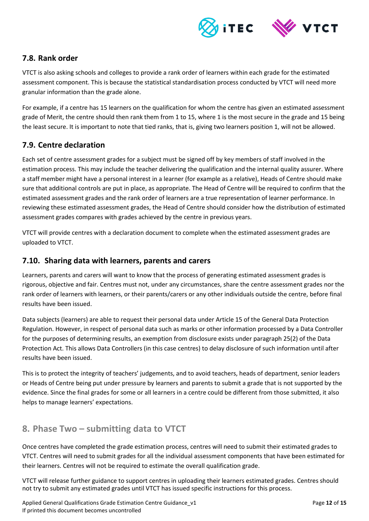

## <span id="page-11-0"></span>**7.8. Rank order**

VTCT is also asking schools and colleges to provide a rank order of learners within each grade for the estimated assessment component. This is because the statistical standardisation process conducted by VTCT will need more granular information than the grade alone.

For example, if a centre has 15 learners on the qualification for whom the centre has given an estimated assessment grade of Merit, the centre should then rank them from 1 to 15, where 1 is the most secure in the grade and 15 being the least secure. It is important to note that tied ranks, that is, giving two learners position 1, will not be allowed.

## <span id="page-11-1"></span>**7.9. Centre declaration**

Each set of centre assessment grades for a subject must be signed off by key members of staff involved in the estimation process. This may include the teacher delivering the qualification and the internal quality assurer. Where a staff member might have a personal interest in a learner (for example as a relative), Heads of Centre should make sure that additional controls are put in place, as appropriate. The Head of Centre will be required to confirm that the estimated assessment grades and the rank order of learners are a true representation of learner performance. In reviewing these estimated assessment grades, the Head of Centre should consider how the distribution of estimated assessment grades compares with grades achieved by the centre in previous years.

VTCT will provide centres with a declaration document to complete when the estimated assessment grades are uploaded to VTCT.

## <span id="page-11-2"></span>**7.10. Sharing data with learners, parents and carers**

Learners, parents and carers will want to know that the process of generating estimated assessment grades is rigorous, objective and fair. Centres must not, under any circumstances, share the centre assessment grades nor the rank order of learners with learners, or their parents/carers or any other individuals outside the centre, before final results have been issued.

Data subjects (learners) are able to request their personal data under Article 15 of the General Data Protection Regulation. However, in respect of personal data such as marks or other information processed by a Data Controller for the purposes of determining results, an exemption from disclosure exists under paragraph 25(2) of the Data Protection Act. This allows Data Controllers (in this case centres) to delay disclosure of such information until after results have been issued.

This is to protect the integrity of teachers' judgements, and to avoid teachers, heads of department, senior leaders or Heads of Centre being put under pressure by learners and parents to submit a grade that is not supported by the evidence. Since the final grades for some or all learners in a centre could be different from those submitted, it also helps to manage learners' expectations.

# <span id="page-11-3"></span>**8. Phase Two – submitting data to VTCT**

Once centres have completed the grade estimation process, centres will need to submit their estimated grades to VTCT. Centres will need to submit grades for all the individual assessment components that have been estimated for their learners. Centres will not be required to estimate the overall qualification grade.

VTCT will release further guidance to support centres in uploading their learners estimated grades. Centres should not try to submit any estimated grades until VTCT has issued specific instructions for this process.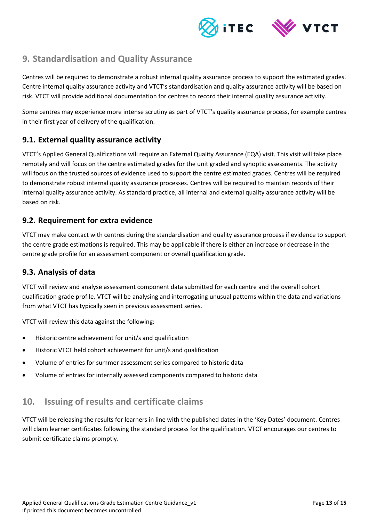

# <span id="page-12-0"></span>**9. Standardisation and Quality Assurance**

Centres will be required to demonstrate a robust internal quality assurance process to support the estimated grades. Centre internal quality assurance activity and VTCT's standardisation and quality assurance activity will be based on risk. VTCT will provide additional documentation for centres to record their internal quality assurance activity.

Some centres may experience more intense scrutiny as part of VTCT's quality assurance process, for example centres in their first year of delivery of the qualification.

## <span id="page-12-1"></span>**9.1. External quality assurance activity**

VTCT's Applied General Qualifications will require an External Quality Assurance (EQA) visit. This visit will take place remotely and will focus on the centre estimated grades for the unit graded and synoptic assessments. The activity will focus on the trusted sources of evidence used to support the centre estimated grades. Centres will be required to demonstrate robust internal quality assurance processes. Centres will be required to maintain records of their internal quality assurance activity. As standard practice, all internal and external quality assurance activity will be based on risk.

## <span id="page-12-2"></span>**9.2. Requirement for extra evidence**

VTCT may make contact with centres during the standardisation and quality assurance process if evidence to support the centre grade estimations is required. This may be applicable if there is either an increase or decrease in the centre grade profile for an assessment component or overall qualification grade.

## <span id="page-12-3"></span>**9.3. Analysis of data**

VTCT will review and analyse assessment component data submitted for each centre and the overall cohort qualification grade profile. VTCT will be analysing and interrogating unusual patterns within the data and variations from what VTCT has typically seen in previous assessment series.

VTCT will review this data against the following:

- Historic centre achievement for unit/s and qualification
- Historic VTCT held cohort achievement for unit/s and qualification
- Volume of entries for summer assessment series compared to historic data
- <span id="page-12-4"></span>Volume of entries for internally assessed components compared to historic data

# **10. Issuing of results and certificate claims**

VTCT will be releasing the results for learners in line with the published dates in the 'Key Dates' document. Centres will claim learner certificates following the standard process for the qualification. VTCT encourages our centres to submit certificate claims promptly.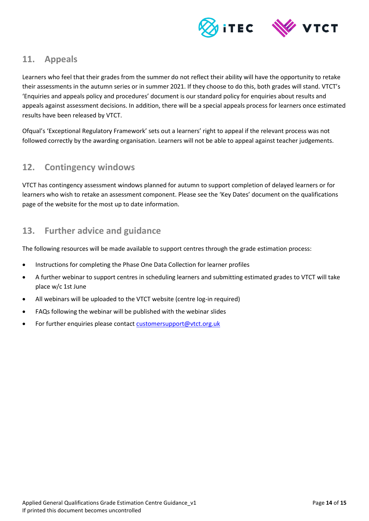

# <span id="page-13-0"></span>**11. Appeals**

Learners who feel that their grades from the summer do not reflect their ability will have the opportunity to retake their assessments in the autumn series or in summer 2021. If they choose to do this, both grades will stand. VTCT's 'Enquiries and appeals policy and procedures' document is our standard policy for enquiries about results and appeals against assessment decisions. In addition, there will be a special appeals process for learners once estimated results have been released by VTCT.

Ofqual's 'Exceptional Regulatory Framework' sets out a learners' right to appeal if the relevant process was not followed correctly by the awarding organisation. Learners will not be able to appeal against teacher judgements.

# <span id="page-13-1"></span>**12. Contingency windows**

VTCT has contingency assessment windows planned for autumn to support completion of delayed learners or for learners who wish to retake an assessment component. Please see the 'Key Dates' document on the qualifications page of the website for the most up to date information.

# <span id="page-13-2"></span>**13. Further advice and guidance**

The following resources will be made available to support centres through the grade estimation process:

- Instructions for completing the Phase One Data Collection for learner profiles
- A further webinar to support centres in scheduling learners and submitting estimated grades to VTCT will take place w/c 1st June
- All webinars will be uploaded to the VTCT website (centre log-in required)
- FAQs following the webinar will be published with the webinar slides
- For further enquiries please contact customersupport@vtct.org.uk